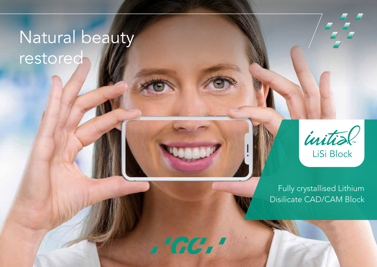# Natural beauty restored



Fully crystallised Lithium Disilicate CAD/CAM Block

 $1 G G I$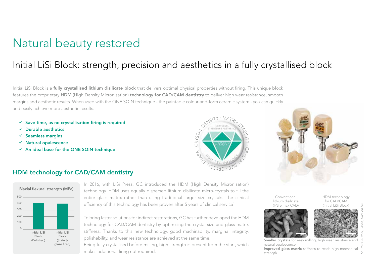### Natural beauty restored

### Initial LiSi Block: strength, precision and aesthetics in a fully crystallised block

Initial LiSi Block is a **fully crystallised lithium disilicate block** that delivers optimal physical properties without firing. This unique block features the proprietary HDM (High Density Micronisation) technology for CAD/CAM dentistry to deliver high wear resistance, smooth margins and aesthetic results. When used with the ONE SQIN technique - the paintable colour-and-form ceramic system - you can quickly and easily achieve more aesthetic results.

- $\checkmark$  Save time, as no crystallisation firing is required
- ü Durable aesthetics
- $\checkmark$  Seamless margins
- $\checkmark$  Natural opalescence
- $\checkmark$  An ideal base for the ONE SQIN technique





#### HDM technology for CAD/CAM dentistry



In 2016, with LiSi Press, GC introduced the HDM (High Density Micronisation) technology. HDM uses equally dispersed lithium disilicate micro-crystals to fill the entire glass matrix rather than using traditional larger size crystals. The clinical efficiency of this technology has been proven after 5 years of clinical service<sup>1</sup>.

To bring faster solutions for indirect restorations, GC has further developed the HDM technology for CAD/CAM dentistry by optimising the crystal size and glass matrix stiffness. Thanks to this new technology, good machinability, marginal integrity, polishability, and wear resistance are achieved at the same time.

Being fully crystallised before milling, high strength is present from the start, which makes additional firing not required.

Conventional lithium disilicate (IPS e.max CAD)



natural opalescence.

HDM technology for CAD/CAM (Initial LiSi Block)



Smaller crystals for easy milling, high wear resistance and

Improved glass matrix stiffness to reach high mechanical strength.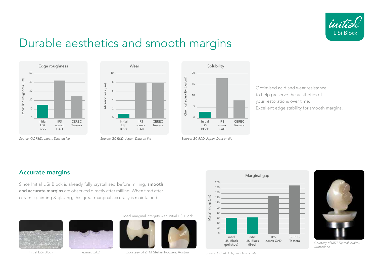

### Durable aesthetics and smooth margins





20 15 10 5  $\cap$ Initial LiSi Block IPS e.max CAD CEREC Tessera Optimised acid and wear resistance <sup>Source:</sup> GC R&D, Japan, Data on file<br>
Source: GC R&D, Japan, Data on file<br>
Source: GC R&D, Japan, Data on file  $\widehat{\phantom{a}}$ Solubility

to help preserve the aesthetics of your restorations over time. Excellent edge stability for smooth margins.

*Source: GC R&D, Japan, Data on file Source: GC R&D, Japan, Data on file*

#### Accurate margins

Since Initial LiSi Block is already fully crystallised before milling, smooth and accurate margins are observed directly after milling. When fired after ceramic painting & glazing, this great marginal accuracy is maintained.





Initial LiSi Block e.max CAD

Ideal marginal integrity with Initial LiSi Block



Courtesy of ZTM Stefan Roozen, Austria





*Courtesy of MDT Djemal Ibraimi, Switzerland*

*Source: GC R&D, Japan, Data on file*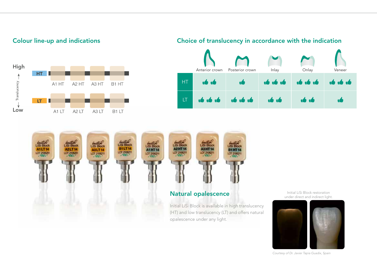







(HT) and low translucency (LT) and offers natural opalescence under any light.

Initial LiSi Block restoration under direct and indirect light.



*Courtesy of Dr. Javier Tapia Guadix, Spain*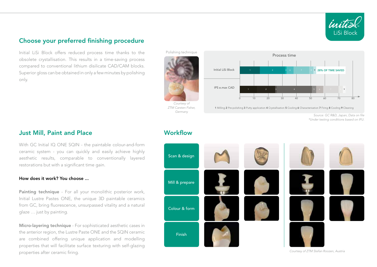

#### Choose your preferred finishing procedure

Initial LiSi Block offers reduced process time thanks to the obsolete crystallisation. This results in a time-saving process compared to conventional lithium disilicate CAD/CAM blocks. Superior gloss can be obtained in only a few minutes by polishing only.





*Courtesy of ZTM Carsten Fisher, Germany*



1 Milling 2 Pre-polishing 3 Putty application 4 Crystallisation 5 Cooling 6 Characterisation 7 Firing 8 Cooling 9 Cleaning

*Source: GC R&D, Japan, Data on file \*Under testing conditions based on IFU.*

#### Just Mill, Paint and Place

With GC Initial IQ ONE SQIN - the paintable colour-and-form ceramic system - you can quickly and easily achieve highly aesthetic results, comparable to conventionally layered restorations but with a significant time gain.

#### How does it work? You choose ...

Painting technique - For all your monolithic posterior work, Initial Lustre Pastes ONE, the unique 3D paintable ceramics from GC, bring fluorescence, unsurpassed vitality and a natural glaze … just by painting.

Micro-layering technique - For sophisticated aesthetic cases in the anterior region, the Lustre Paste ONE and the SQIN ceramic are combined offering unique application and modelling properties that will facilitate surface texturing with self-glazing properties after ceramic firing.

#### **Workflow**



*Courtesy of ZTM Stefan Roozen, Austria*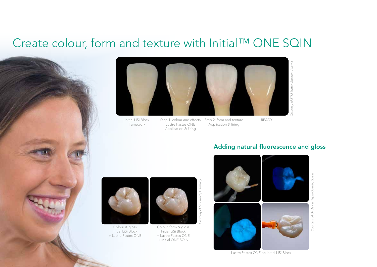### Create colour, form and texture with Initial™ ONE SQIN





Initial LiSi Block framework

Step 1: colour and effects Step 2: form and texture Lustre Pastes ONE Application & firing Application & firing

READY!

### Adding natural fluorescence and gloss



Colour & gloss Initial LiSi Block + Lustre Pastes ONE





Courtesy of M. Brusch, Germany *Courtesy of M. Brusch, Germany*







*Courtesy of Dr. Javier Tapia Guadix, Spain* Guadix, Tapia Courtesy of Dr. Javier

Spain

Lustre Pastes ONE on Initial LiSi Block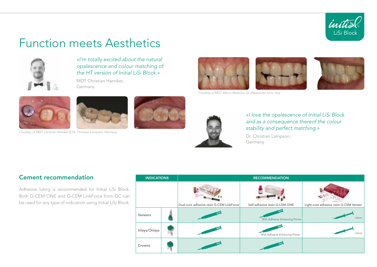

### Function meets Aesthetics



*«I'm totally excited about the natural opalescence and colour matching of the HT version of Initial LiSi Block.»*

MDT Christian Hannker, Germany





*Courtesy of MDT Christian Hannker & Dr. Christian Lampson, Germany*





*Courtesy of MDT Marco Muttone, Dr. Alessandro Iorio, Italy*



*«I love the opalescence of Initial LiSi Block and as a consequence thereof the colour stability and perfect matching.»*

Dr. Christian Lampson, Germany

#### Cement recommendation

Adhesive luting is recommended for Initial LiSi Block. Both G-CEM ONE and G-CEM LinkForce from GC can be used for any type of indication using Initial LiSi Block.